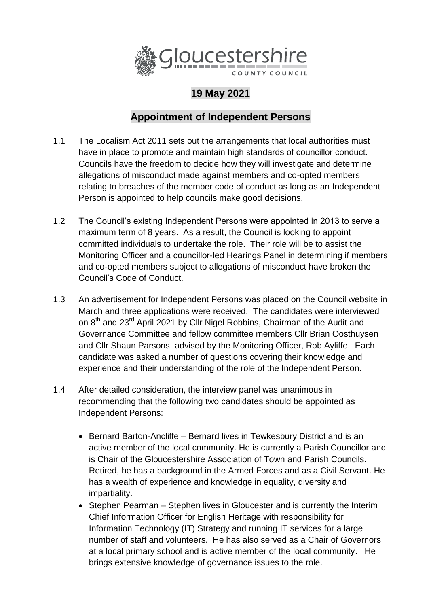

## **19 May 2021**

## **Appointment of Independent Persons**

- 1.1 The Localism Act 2011 sets out the arrangements that local authorities must have in place to promote and maintain high standards of councillor conduct. Councils have the freedom to decide how they will investigate and determine allegations of misconduct made against members and co-opted members relating to breaches of the member code of conduct as long as an Independent Person is appointed to help councils make good decisions.
- 1.2 The Council's existing Independent Persons were appointed in 2013 to serve a maximum term of 8 years. As a result, the Council is looking to appoint committed individuals to undertake the role. Their role will be to assist the Monitoring Officer and a councillor-led Hearings Panel in determining if members and co-opted members subject to allegations of misconduct have broken the Council's Code of Conduct.
- 1.3 An advertisement for Independent Persons was placed on the Council website in March and three applications were received. The candidates were interviewed on 8<sup>th</sup> and 23<sup>rd</sup> April 2021 by Cllr Nigel Robbins, Chairman of the Audit and Governance Committee and fellow committee members Cllr Brian Oosthuysen and Cllr Shaun Parsons, advised by the Monitoring Officer, Rob Ayliffe. Each candidate was asked a number of questions covering their knowledge and experience and their understanding of the role of the Independent Person.
- 1.4 After detailed consideration, the interview panel was unanimous in recommending that the following two candidates should be appointed as Independent Persons:
	- Bernard Barton-Ancliffe Bernard lives in Tewkesbury District and is an active member of the local community. He is currently a Parish Councillor and is Chair of the Gloucestershire Association of Town and Parish Councils. Retired, he has a background in the Armed Forces and as a Civil Servant. He has a wealth of experience and knowledge in equality, diversity and impartiality.
	- Stephen Pearman Stephen lives in Gloucester and is currently the Interim Chief Information Officer for English Heritage with responsibility for Information Technology (IT) Strategy and running IT services for a large number of staff and volunteers. He has also served as a Chair of Governors at a local primary school and is active member of the local community. He brings extensive knowledge of governance issues to the role.